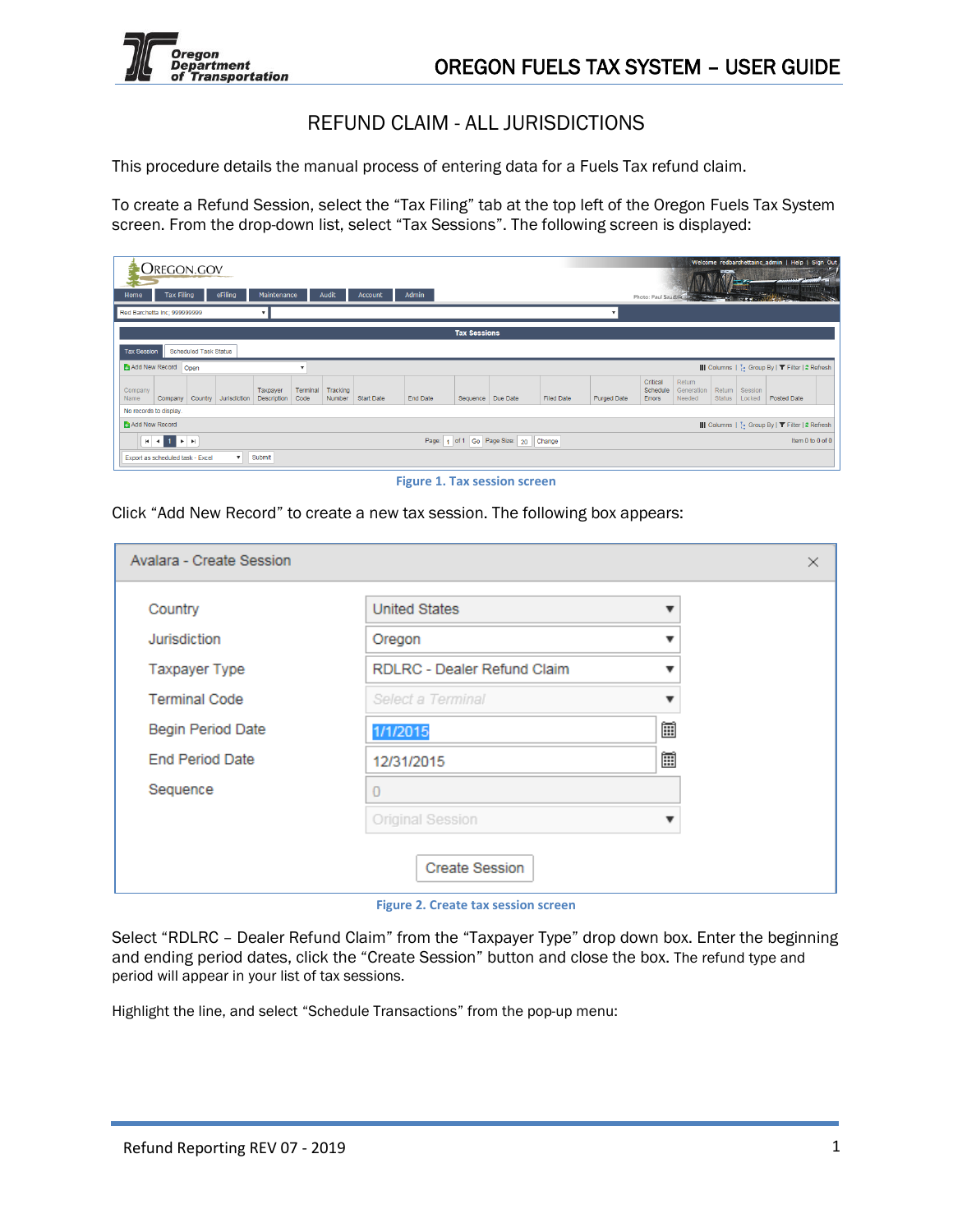

# REFUND CLAIM - ALL JURISDICTIONS

This procedure details the manual process of entering data for a Fuels Tax refund claim.

To create a Refund Session, select the "Tax Filing" tab at the top left of the Oregon Fuels Tax System screen. From the drop-down list, select "Tax Sessions". The following screen is displayed:

| Home<br>Red Barchetta Inc; 999999999 | Oregon.gov<br><b>Tax Filing</b>  |                              | eFiling      | Maintenance                    |                  | Audit              | <b>Account</b>    | <b>Admin</b> |                     |                              |            | $\blacksquare$     |                                       | Photo: Paul Szudzik            |                         |                   | Welcome redbarchettainc_admin   Help   Sign Out                     |                  |
|--------------------------------------|----------------------------------|------------------------------|--------------|--------------------------------|------------------|--------------------|-------------------|--------------|---------------------|------------------------------|------------|--------------------|---------------------------------------|--------------------------------|-------------------------|-------------------|---------------------------------------------------------------------|------------------|
|                                      |                                  |                              |              |                                |                  |                    |                   |              | <b>Tax Sessions</b> |                              |            |                    |                                       |                                |                         |                   |                                                                     |                  |
| <b>Tax Session</b>                   |                                  | <b>Scheduled Task Status</b> |              |                                |                  |                    |                   |              |                     |                              |            |                    |                                       |                                |                         |                   |                                                                     |                  |
| Add New Record Open                  |                                  |                              |              |                                |                  |                    |                   |              |                     |                              |            |                    |                                       |                                |                         |                   | III Columns   :- Group By   T Filter   2 Refresh                    |                  |
| Company<br>Name                      | Company                          | Country                      | Jurisdiction | Taxpayer<br><b>Description</b> | Terminal<br>Code | Tracking<br>Number | <b>Start Date</b> | End Date     |                     | Sequence Due Date            | Filed Date | <b>Purged Date</b> | Critical<br>Schedule<br><b>Errors</b> | Return<br>Generation<br>Needed | Return<br><b>Status</b> | Session<br>Locked | <b>Posted Date</b>                                                  |                  |
| No records to display.               |                                  |                              |              |                                |                  |                    |                   |              |                     |                              |            |                    |                                       |                                |                         |                   |                                                                     |                  |
| Add New Record                       |                                  |                              |              |                                |                  |                    |                   |              |                     |                              |            |                    |                                       |                                |                         |                   | III Columns   <sup>1</sup> . Group By   <b>T</b> Filter   2 Refresh |                  |
|                                      | $H$ $4$ $1$ $F$ $H$              |                              |              |                                |                  |                    |                   | Page:<br>h,  |                     | of 1 Go Page Size: 20 Change |            |                    |                                       |                                |                         |                   |                                                                     | Item 0 to 0 of 0 |
|                                      | Export as scheduled task - Excel |                              | $\mathbf{v}$ | Submit                         |                  |                    |                   |              |                     |                              |            |                    |                                       |                                |                         |                   |                                                                     |                  |

**Figure 1. Tax session screen**

Click "Add New Record" to create a new tax session. The following box appears:

| Avalara - Create Session |                                    |   | $\times$ |
|--------------------------|------------------------------------|---|----------|
| Country                  | <b>United States</b>               |   |          |
| Jurisdiction             | Oregon                             |   |          |
| Taxpayer Type            | <b>RDLRC - Dealer Refund Claim</b> |   |          |
| <b>Terminal Code</b>     | Select a Terminal                  |   |          |
| Begin Period Date        | 1/1/2015                           | 圃 |          |
| <b>End Period Date</b>   | 12/31/2015                         | 圃 |          |
| Sequence                 | 0                                  |   |          |
|                          | Original Session                   |   |          |
|                          | <b>Create Session</b>              |   |          |

**Figure 2. Create tax session screen**

Select "RDLRC – Dealer Refund Claim" from the "Taxpayer Type" drop down box. Enter the beginning and ending period dates, click the "Create Session" button and close the box. The refund type and period will appear in your list of tax sessions.

Highlight the line, and select "Schedule Transactions" from the pop-up menu: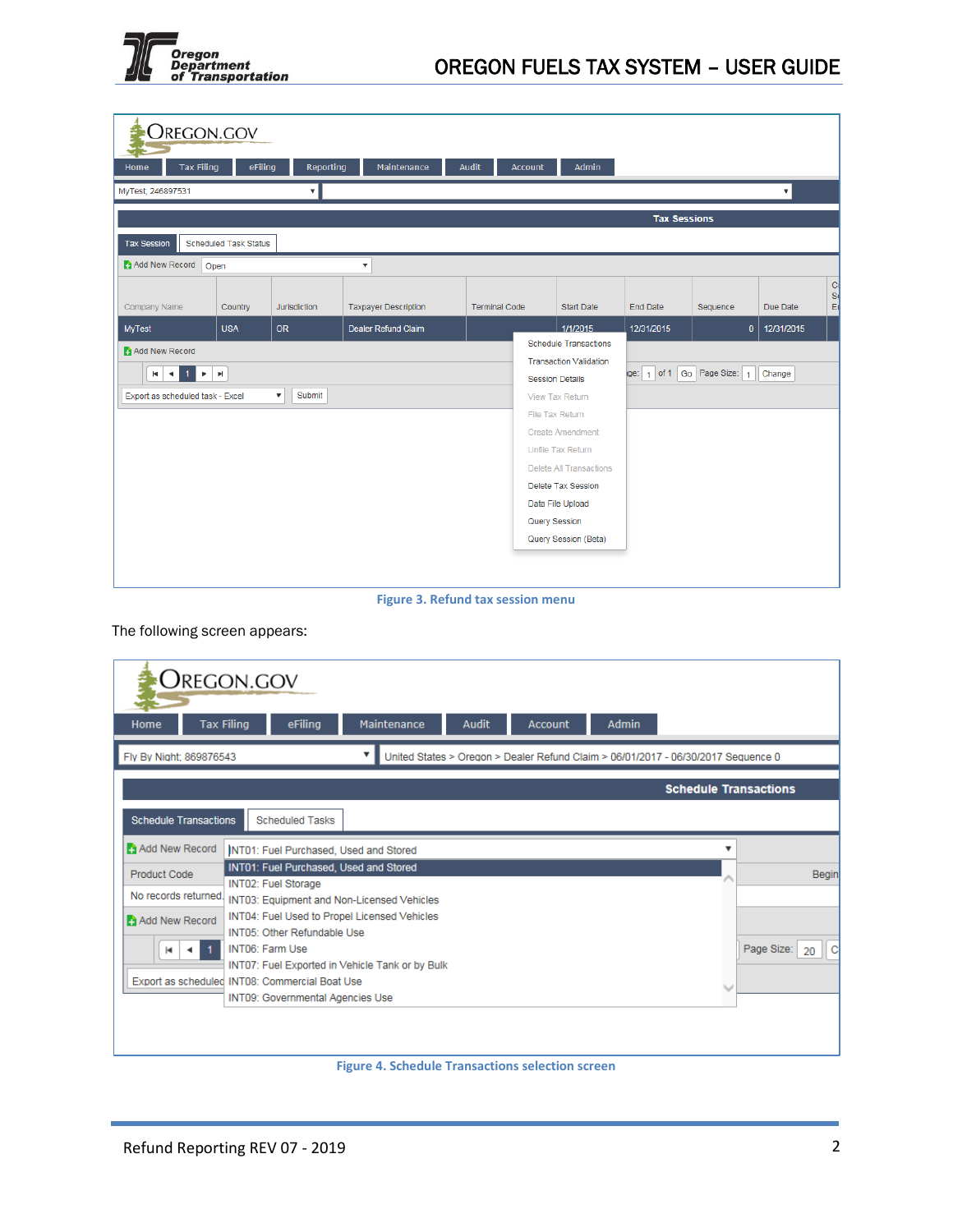

| <b>OREGON.GOV</b>                                |                                    |                                     |                             |                      |               |                                                         |                            |          |                      |                    |
|--------------------------------------------------|------------------------------------|-------------------------------------|-----------------------------|----------------------|---------------|---------------------------------------------------------|----------------------------|----------|----------------------|--------------------|
| <b>Tax Filing</b><br>Home                        | eFiling                            | <b>Reporting</b>                    | Maintenance                 | Audit                | Account       | Admin                                                   |                            |          |                      |                    |
| MyTest; 246897531                                |                                    | ۰.                                  |                             |                      |               |                                                         |                            |          | $\blacktriangledown$ |                    |
|                                                  |                                    |                                     |                             |                      |               |                                                         | <b>Tax Sessions</b>        |          |                      |                    |
| <b>Tax Session</b>                               | <b>Scheduled Task Status</b>       |                                     |                             |                      |               |                                                         |                            |          |                      |                    |
| Add New Record                                   | Open                               |                                     | $\boldsymbol{\mathrm{v}}$   |                      |               |                                                         |                            |          |                      |                    |
|                                                  |                                    |                                     |                             |                      |               |                                                         |                            |          |                      | $\overline{C}$     |
| Company Name                                     | Country                            | Jurisdiction                        | <b>Taxpayer Description</b> | <b>Terminal Code</b> |               | <b>Start Date</b>                                       | <b>End Date</b>            | Sequence | Due Date             | <sub>S</sub><br>Er |
| <b>MyTest</b>                                    | <b>USA</b>                         | <b>OR</b>                           | Dealer Refund Claim         |                      |               | 1/1/2015                                                | 12/31/2015                 | $\bf{0}$ | 12/31/2015           |                    |
| Add New Record                                   |                                    |                                     |                             |                      |               | <b>Schedule Transactions</b>                            |                            |          |                      |                    |
| $1 \times$<br>$ \bullet $<br>$\vert \cdot \vert$ | $\left\vert \mathbf{r}\right\vert$ |                                     |                             |                      |               | <b>Transaction Validation</b><br><b>Session Details</b> | ge: 1 of 1 Go Page Size: 1 |          | Change               |                    |
| Export as scheduled task - Excel                 |                                    | $\boldsymbol{\mathrm{v}}$<br>Submit |                             |                      |               | View Tax Return                                         |                            |          |                      |                    |
|                                                  |                                    |                                     |                             |                      |               | File Tax Return                                         |                            |          |                      |                    |
|                                                  |                                    |                                     |                             |                      |               | <b>Create Amendment</b>                                 |                            |          |                      |                    |
|                                                  |                                    |                                     |                             |                      |               | Unfile Tax Return                                       |                            |          |                      |                    |
|                                                  |                                    |                                     |                             |                      |               | <b>Delete All Transactions</b>                          |                            |          |                      |                    |
|                                                  |                                    |                                     |                             |                      |               | <b>Delete Tax Session</b>                               |                            |          |                      |                    |
|                                                  |                                    |                                     |                             |                      | Query Session | Data File Upload                                        |                            |          |                      |                    |
|                                                  |                                    |                                     |                             |                      |               | Query Session (Beta)                                    |                            |          |                      |                    |
|                                                  |                                    |                                     |                             |                      |               |                                                         |                            |          |                      |                    |
|                                                  |                                    |                                     |                             |                      |               |                                                         |                            |          |                      |                    |

**Figure 3. Refund tax session menu**

The following screen appears:

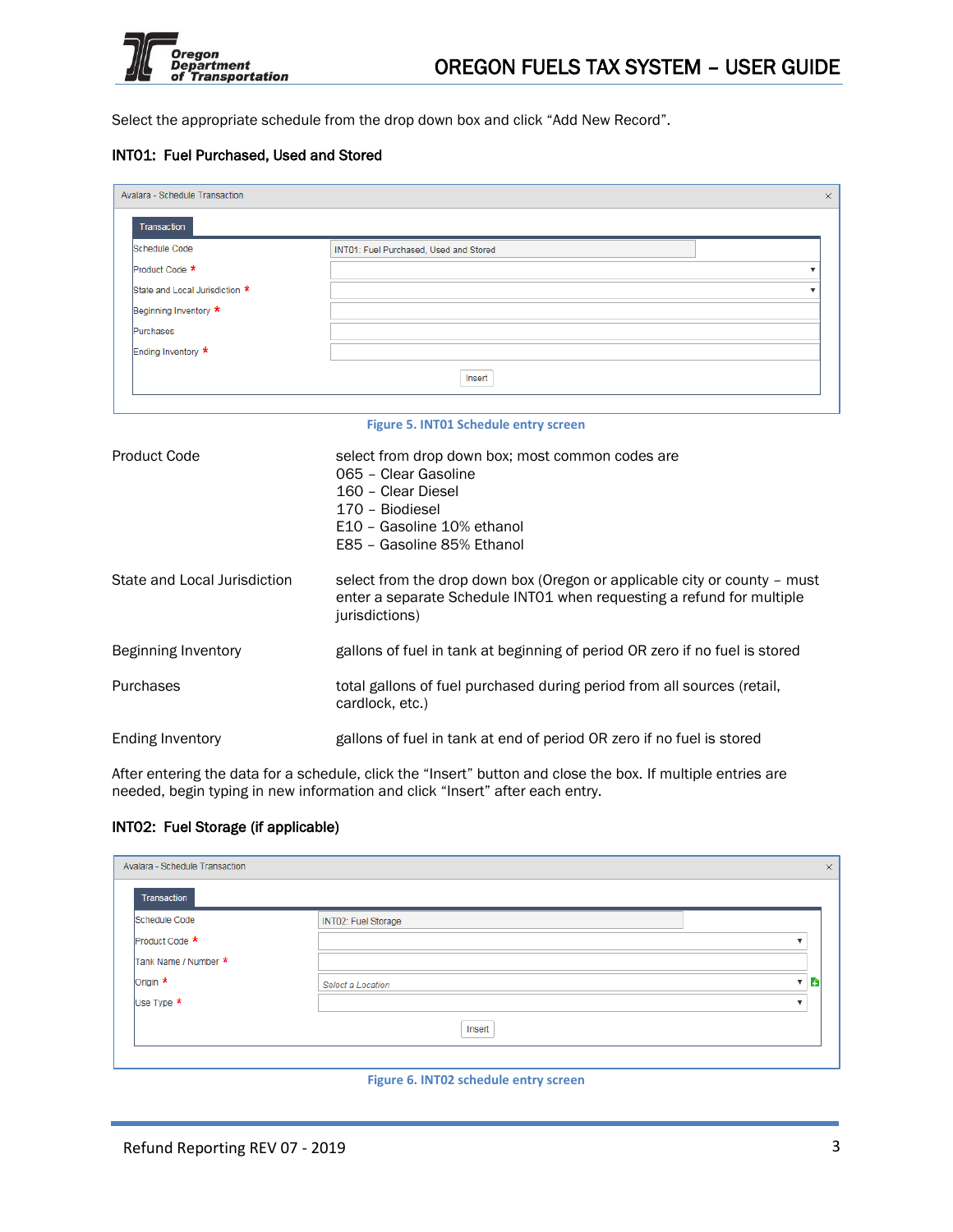

Select the appropriate schedule from the drop down box and click "Add New Record".

### INT01: Fuel Purchased, Used and Stored

| Avalara - Schedule Transaction |                                        |  |
|--------------------------------|----------------------------------------|--|
| Transaction                    |                                        |  |
| Schedule Code                  | INT01: Fuel Purchased, Used and Stored |  |
| Product Code *                 |                                        |  |
| State and Local Jurisdiction * |                                        |  |
| Beginning Inventory *          |                                        |  |
| Purchases                      |                                        |  |
| Ending Inventory *             |                                        |  |
|                                | Insert                                 |  |
|                                |                                        |  |

#### **Figure 5. INT01 Schedule entry screen**

| Product Code                 | select from drop down box; most common codes are<br>065 - Clear Gasoline<br>160 - Clear Diesel<br>170 - Biodiesel<br>E10 - Gasoline 10% ethanol<br>E85 - Gasoline 85% Ethanol |
|------------------------------|-------------------------------------------------------------------------------------------------------------------------------------------------------------------------------|
| State and Local Jurisdiction | select from the drop down box (Oregon or applicable city or county – must<br>enter a separate Schedule INTO1 when requesting a refund for multiple<br>jurisdictions)          |
| Beginning Inventory          | gallons of fuel in tank at beginning of period OR zero if no fuel is stored                                                                                                   |
| Purchases                    | total gallons of fuel purchased during period from all sources (retail,<br>cardlock, etc.)                                                                                    |
| Ending Inventory             | gallons of fuel in tank at end of period OR zero if no fuel is stored                                                                                                         |

After entering the data for a schedule, click the "Insert" button and close the box. If multiple entries are needed, begin typing in new information and click "Insert" after each entry.

### INT02: Fuel Storage (if applicable)

| Avalara - Schedule Transaction |                     |                         |
|--------------------------------|---------------------|-------------------------|
| Transaction                    |                     |                         |
| Schedule Code                  | INT02: Fuel Storage |                         |
| Product Code *                 |                     | v                       |
| Tank Name / Number *           |                     |                         |
| Origin *                       | Select a Location   | $\mathbf{v}$ in         |
| Use Type $\star$               |                     | $\overline{\mathbf{v}}$ |
|                                | Insert              |                         |
|                                |                     |                         |

#### **Figure 6. INT02 schedule entry screen**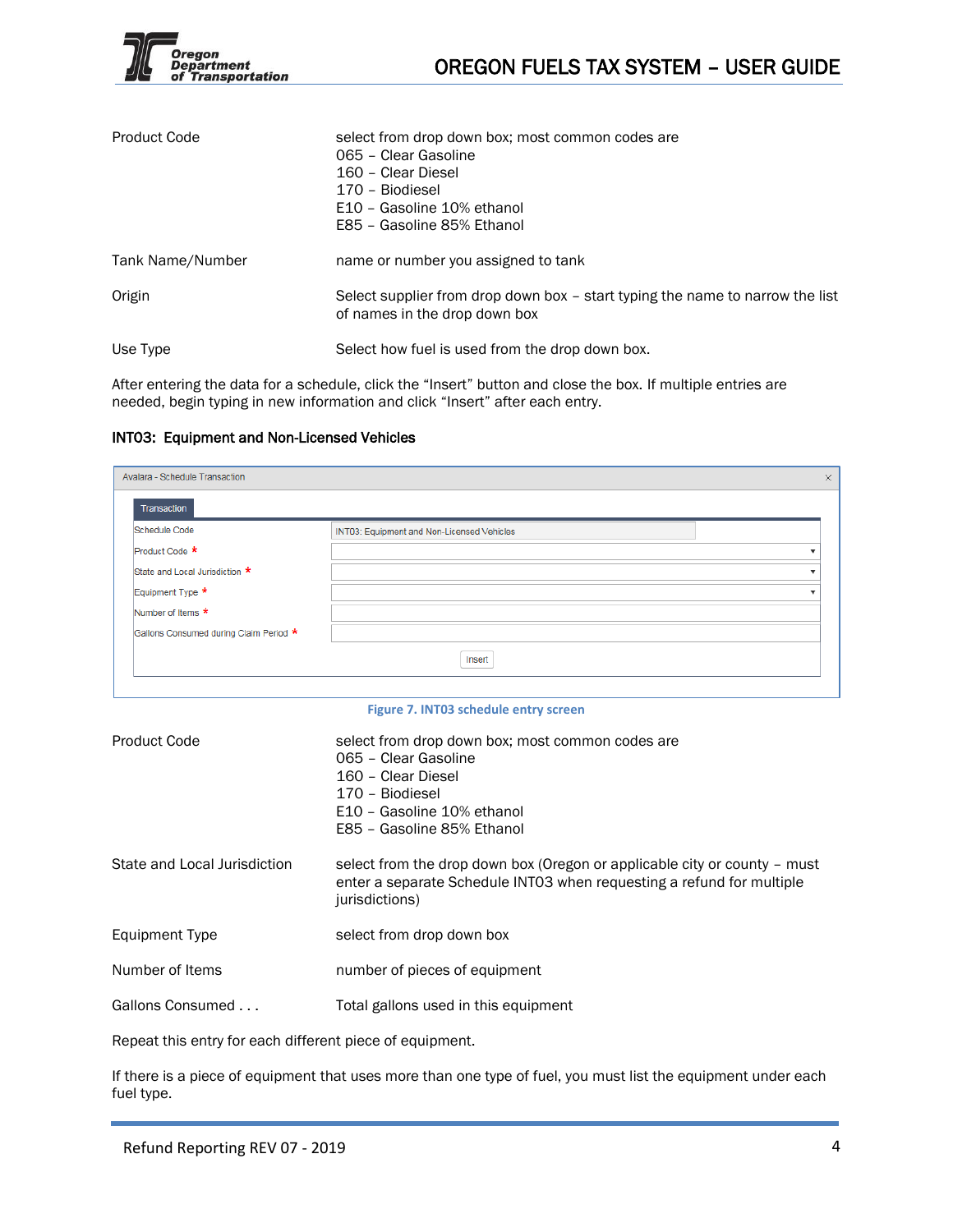

| <b>Product Code</b> | select from drop down box; most common codes are<br>065 - Clear Gasoline<br>160 - Clear Diesel<br>170 - Biodiesel<br>E10 - Gasoline 10% ethanol<br>E85 - Gasoline 85% Ethanol |
|---------------------|-------------------------------------------------------------------------------------------------------------------------------------------------------------------------------|
| Tank Name/Number    | name or number you assigned to tank                                                                                                                                           |
| Origin              | Select supplier from drop down box – start typing the name to narrow the list<br>of names in the drop down box                                                                |
| Use Type            | Select how fuel is used from the drop down box.                                                                                                                               |

After entering the data for a schedule, click the "Insert" button and close the box. If multiple entries are needed, begin typing in new information and click "Insert" after each entry.

### INT03: Equipment and Non-Licensed Vehicles

| Avalara - Schedule Transaction         |                                            |  |
|----------------------------------------|--------------------------------------------|--|
| Transaction                            |                                            |  |
| Schedule Code                          | INT03: Equipment and Non-Licensed Vehicles |  |
| Product Code *                         |                                            |  |
| State and Local Jurisdiction *         |                                            |  |
| Equipment Type *                       |                                            |  |
| Number of Items *                      |                                            |  |
| Gallons Consumed during Claim Period * |                                            |  |
|                                        | Insert                                     |  |
|                                        |                                            |  |

#### **Figure 7. INT03 schedule entry screen**

| <b>Product Code</b>          | select from drop down box; most common codes are<br>065 - Clear Gasoline<br>160 - Clear Diesel<br>170 - Biodiesel<br>E10 - Gasoline 10% ethanol<br>E85 - Gasoline 85% Ethanol |
|------------------------------|-------------------------------------------------------------------------------------------------------------------------------------------------------------------------------|
| State and Local Jurisdiction | select from the drop down box (Oregon or applicable city or county - must<br>enter a separate Schedule INTO3 when requesting a refund for multiple<br>jurisdictions)          |
| Equipment Type               | select from drop down box                                                                                                                                                     |
| Number of Items              | number of pieces of equipment                                                                                                                                                 |
| Gallons Consumed             | Total gallons used in this equipment                                                                                                                                          |

Repeat this entry for each different piece of equipment.

If there is a piece of equipment that uses more than one type of fuel, you must list the equipment under each fuel type.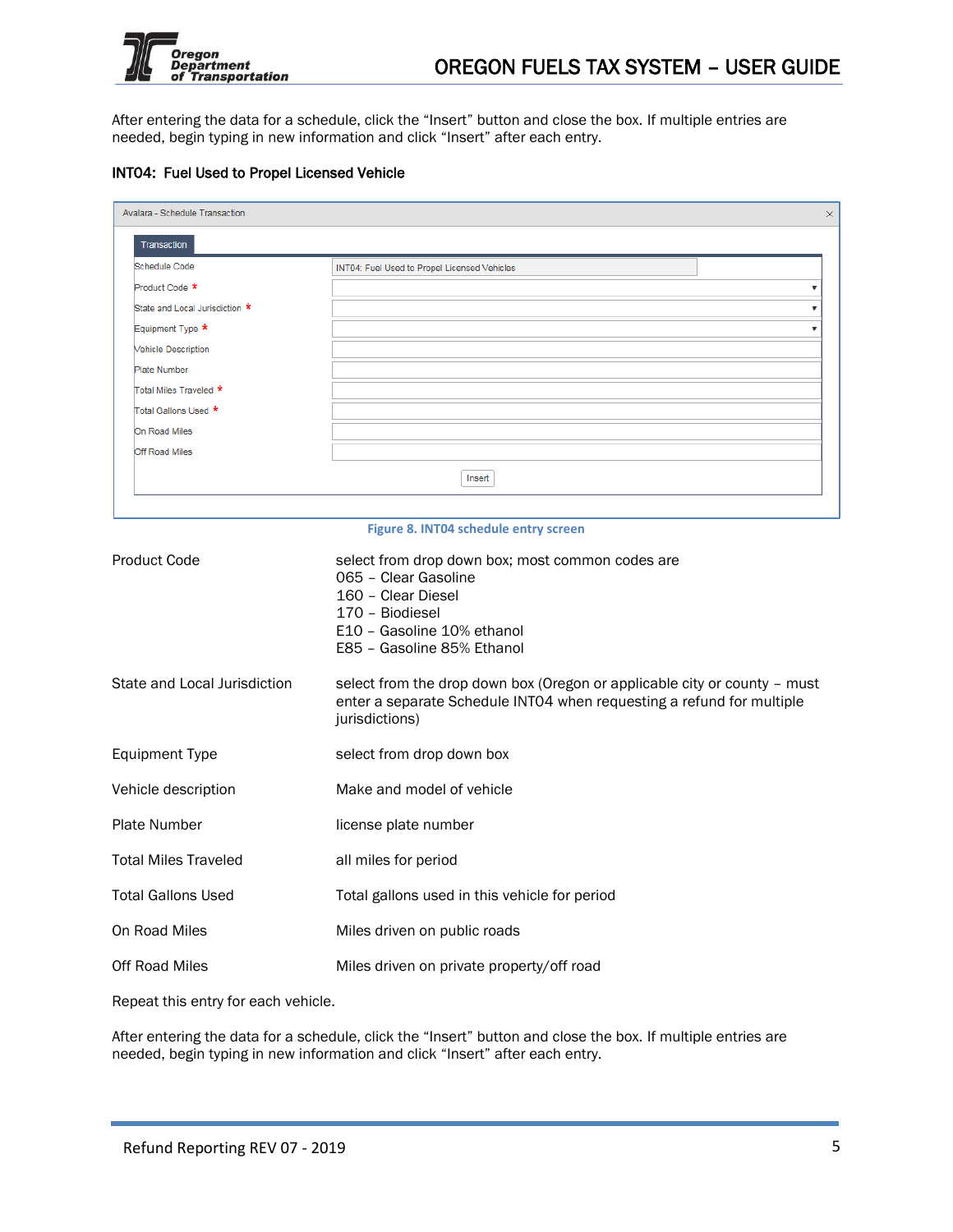

After entering the data for a schedule, click the "Insert" button and close the box. If multiple entries are needed, begin typing in new information and click "Insert" after each entry.

### INT04: Fuel Used to Propel Licensed Vehicle

| Avalara - Schedule Transaction<br>Transaction<br><b>Schedule Code</b><br>INT04: Fuel Used to Propel Licensed Vehicles<br>Product Code *<br>State and Local Jurisdiction *<br>Equipment Type *<br><b>Vehicle Description</b><br><b>Plate Number</b><br>Total Miles Traveled *<br>Total Gallons Used ★<br>On Road Miles<br>Off Road Miles<br>Insert<br>Figure 8. INT04 schedule entry screen<br><b>Product Code</b><br>select from drop down box; most common codes are<br>065 - Clear Gasoline<br>160 - Clear Diesel<br>170 - Biodiesel<br>E10 - Gasoline 10% ethanol<br>E85 - Gasoline 85% Ethanol<br>State and Local Jurisdiction<br>enter a separate Schedule INT04 when requesting a refund for multiple<br>jurisdictions)<br><b>Equipment Type</b><br>select from drop down box |                                                                           |
|-------------------------------------------------------------------------------------------------------------------------------------------------------------------------------------------------------------------------------------------------------------------------------------------------------------------------------------------------------------------------------------------------------------------------------------------------------------------------------------------------------------------------------------------------------------------------------------------------------------------------------------------------------------------------------------------------------------------------------------------------------------------------------------|---------------------------------------------------------------------------|
|                                                                                                                                                                                                                                                                                                                                                                                                                                                                                                                                                                                                                                                                                                                                                                                     |                                                                           |
|                                                                                                                                                                                                                                                                                                                                                                                                                                                                                                                                                                                                                                                                                                                                                                                     |                                                                           |
|                                                                                                                                                                                                                                                                                                                                                                                                                                                                                                                                                                                                                                                                                                                                                                                     | ▼                                                                         |
|                                                                                                                                                                                                                                                                                                                                                                                                                                                                                                                                                                                                                                                                                                                                                                                     | ▼                                                                         |
|                                                                                                                                                                                                                                                                                                                                                                                                                                                                                                                                                                                                                                                                                                                                                                                     | ▼                                                                         |
|                                                                                                                                                                                                                                                                                                                                                                                                                                                                                                                                                                                                                                                                                                                                                                                     |                                                                           |
|                                                                                                                                                                                                                                                                                                                                                                                                                                                                                                                                                                                                                                                                                                                                                                                     |                                                                           |
|                                                                                                                                                                                                                                                                                                                                                                                                                                                                                                                                                                                                                                                                                                                                                                                     |                                                                           |
|                                                                                                                                                                                                                                                                                                                                                                                                                                                                                                                                                                                                                                                                                                                                                                                     |                                                                           |
|                                                                                                                                                                                                                                                                                                                                                                                                                                                                                                                                                                                                                                                                                                                                                                                     |                                                                           |
|                                                                                                                                                                                                                                                                                                                                                                                                                                                                                                                                                                                                                                                                                                                                                                                     |                                                                           |
|                                                                                                                                                                                                                                                                                                                                                                                                                                                                                                                                                                                                                                                                                                                                                                                     |                                                                           |
|                                                                                                                                                                                                                                                                                                                                                                                                                                                                                                                                                                                                                                                                                                                                                                                     |                                                                           |
|                                                                                                                                                                                                                                                                                                                                                                                                                                                                                                                                                                                                                                                                                                                                                                                     |                                                                           |
|                                                                                                                                                                                                                                                                                                                                                                                                                                                                                                                                                                                                                                                                                                                                                                                     |                                                                           |
|                                                                                                                                                                                                                                                                                                                                                                                                                                                                                                                                                                                                                                                                                                                                                                                     | select from the drop down box (Oregon or applicable city or county - must |
|                                                                                                                                                                                                                                                                                                                                                                                                                                                                                                                                                                                                                                                                                                                                                                                     |                                                                           |
| Vehicle description                                                                                                                                                                                                                                                                                                                                                                                                                                                                                                                                                                                                                                                                                                                                                                 | Make and model of vehicle                                                 |
| <b>Plate Number</b>                                                                                                                                                                                                                                                                                                                                                                                                                                                                                                                                                                                                                                                                                                                                                                 | license plate number                                                      |
| <b>Total Miles Traveled</b>                                                                                                                                                                                                                                                                                                                                                                                                                                                                                                                                                                                                                                                                                                                                                         | all miles for period                                                      |
| <b>Total Gallons Used</b>                                                                                                                                                                                                                                                                                                                                                                                                                                                                                                                                                                                                                                                                                                                                                           | Total gallons used in this vehicle for period                             |
| On Road Miles                                                                                                                                                                                                                                                                                                                                                                                                                                                                                                                                                                                                                                                                                                                                                                       | Miles driven on public roads                                              |
| <b>Off Road Miles</b>                                                                                                                                                                                                                                                                                                                                                                                                                                                                                                                                                                                                                                                                                                                                                               | Miles driven on private property/off road                                 |

Repeat this entry for each vehicle.

After entering the data for a schedule, click the "Insert" button and close the box. If multiple entries are needed, begin typing in new information and click "Insert" after each entry.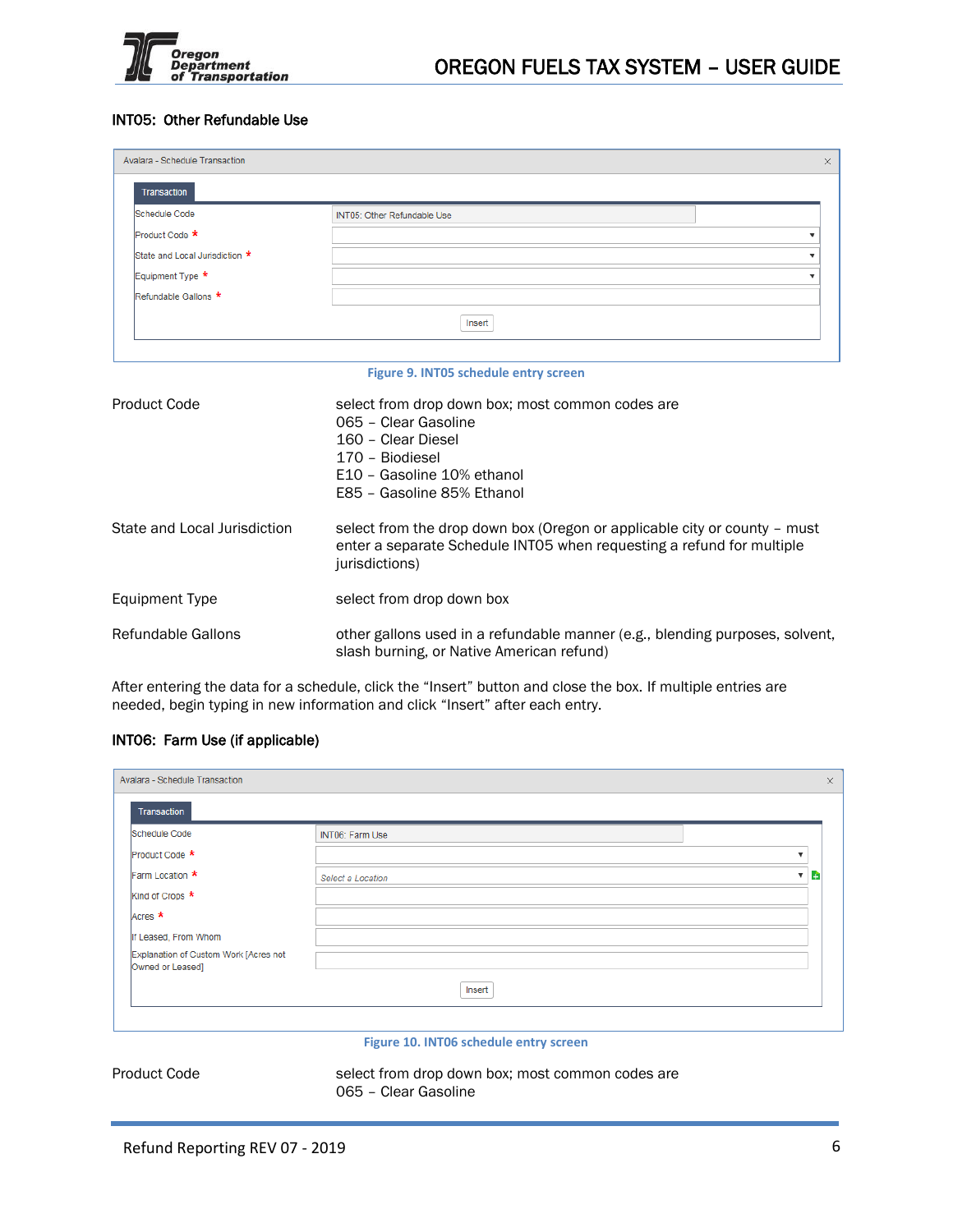

## INT05: Other Refundable Use

| Avalara - Schedule Transaction<br>$\times$<br><b>Transaction</b><br>Schedule Code<br><b>INT05: Other Refundable Use</b><br>Product Code *<br>State and Local Jurisdiction *<br>Equipment Type *<br>Refundable Gallons *<br>Insert<br>Figure 9. INT05 schedule entry screen<br><b>Product Code</b><br>select from drop down box; most common codes are<br>065 - Clear Gasoline<br>160 - Clear Diesel<br>170 - Biodiesel<br>E10 - Gasoline 10% ethanol<br>E85 - Gasoline 85% Ethanol<br>State and Local Jurisdiction<br>select from the drop down box (Oregon or applicable city or county - must<br>enter a separate Schedule INT05 when requesting a refund for multiple<br>jurisdictions)<br><b>Equipment Type</b><br>select from drop down box |                                                                                                                           |
|--------------------------------------------------------------------------------------------------------------------------------------------------------------------------------------------------------------------------------------------------------------------------------------------------------------------------------------------------------------------------------------------------------------------------------------------------------------------------------------------------------------------------------------------------------------------------------------------------------------------------------------------------------------------------------------------------------------------------------------------------|---------------------------------------------------------------------------------------------------------------------------|
|                                                                                                                                                                                                                                                                                                                                                                                                                                                                                                                                                                                                                                                                                                                                                  |                                                                                                                           |
|                                                                                                                                                                                                                                                                                                                                                                                                                                                                                                                                                                                                                                                                                                                                                  |                                                                                                                           |
|                                                                                                                                                                                                                                                                                                                                                                                                                                                                                                                                                                                                                                                                                                                                                  |                                                                                                                           |
|                                                                                                                                                                                                                                                                                                                                                                                                                                                                                                                                                                                                                                                                                                                                                  |                                                                                                                           |
|                                                                                                                                                                                                                                                                                                                                                                                                                                                                                                                                                                                                                                                                                                                                                  |                                                                                                                           |
|                                                                                                                                                                                                                                                                                                                                                                                                                                                                                                                                                                                                                                                                                                                                                  |                                                                                                                           |
|                                                                                                                                                                                                                                                                                                                                                                                                                                                                                                                                                                                                                                                                                                                                                  |                                                                                                                           |
|                                                                                                                                                                                                                                                                                                                                                                                                                                                                                                                                                                                                                                                                                                                                                  |                                                                                                                           |
|                                                                                                                                                                                                                                                                                                                                                                                                                                                                                                                                                                                                                                                                                                                                                  |                                                                                                                           |
|                                                                                                                                                                                                                                                                                                                                                                                                                                                                                                                                                                                                                                                                                                                                                  |                                                                                                                           |
|                                                                                                                                                                                                                                                                                                                                                                                                                                                                                                                                                                                                                                                                                                                                                  |                                                                                                                           |
|                                                                                                                                                                                                                                                                                                                                                                                                                                                                                                                                                                                                                                                                                                                                                  |                                                                                                                           |
| Refundable Gallons                                                                                                                                                                                                                                                                                                                                                                                                                                                                                                                                                                                                                                                                                                                               | other gallons used in a refundable manner (e.g., blending purposes, solvent,<br>slash burning, or Native American refund) |

After entering the data for a schedule, click the "Insert" button and close the box. If multiple entries are needed, begin typing in new information and click "Insert" after each entry.

### INT06: Farm Use (if applicable)

| Avalara - Schedule Transaction                            |                   |                         | $\times$ |
|-----------------------------------------------------------|-------------------|-------------------------|----------|
| Transaction                                               |                   |                         |          |
| Schedule Code                                             | INT06: Farm Use   |                         |          |
| Product Code *                                            |                   | $\overline{\mathbf{v}}$ |          |
| Farm Location *                                           | Select a Location | B.<br>$\mathbf{v}$      |          |
| Kind of Crops *                                           |                   |                         |          |
| Acres *                                                   |                   |                         |          |
| If Leased, From Whom                                      |                   |                         |          |
| Explanation of Custom Work [Acres not<br>Owned or Leased] |                   |                         |          |
|                                                           | Insert            |                         |          |
|                                                           |                   |                         |          |
|                                                           |                   |                         |          |

#### **Figure 10. INT06 schedule entry screen**

Product Code select from drop down box; most common codes are 065 – Clear Gasoline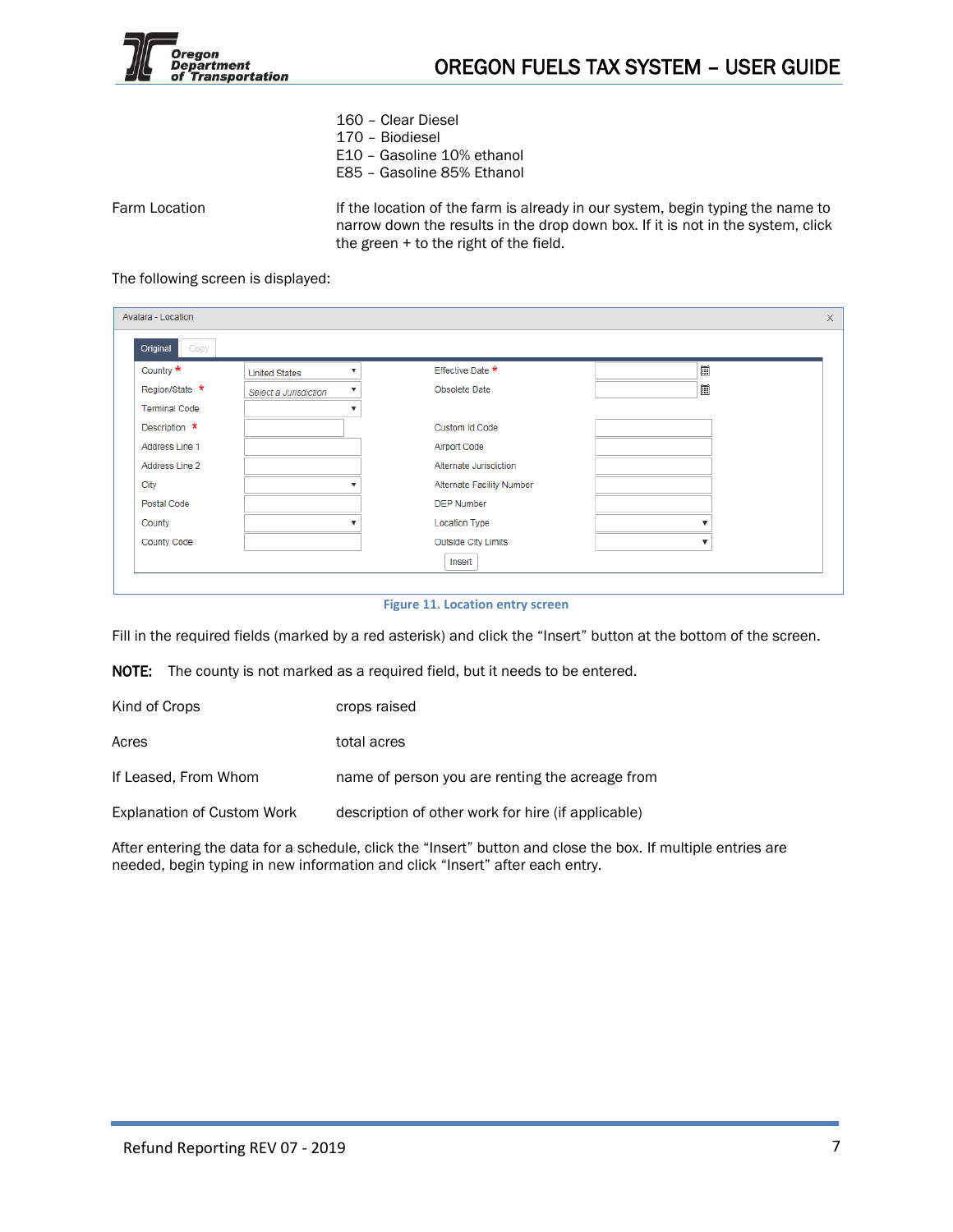

- 160 Clear Diesel
- 170 Biodiesel
- E10 Gasoline 10% ethanol
- E85 Gasoline 85% Ethanol

Farm Location **If the location of the farm is already in our system, begin typing the name to** narrow down the results in the drop down box. If it is not in the system, click the green + to the right of the field.

### The following screen is displayed:

| Original<br>Copy     |                                                  |                            |                         |
|----------------------|--------------------------------------------------|----------------------------|-------------------------|
| Country *            | $\overline{\mathbf{v}}$<br><b>United States</b>  | Effective Date *           | 圍                       |
| Region/State *       | $\overline{\mathbf{v}}$<br>Select a Jurisdiction | Obsolete Date              | 圍                       |
| <b>Terminal Code</b> | $\overline{\mathbf{v}}$                          |                            |                         |
| Description *        |                                                  | Custom Id Code             |                         |
| Address Line 1       |                                                  | <b>Airport Code</b>        |                         |
| Address Line 2       |                                                  | Alternate Jurisdiction     |                         |
| City                 |                                                  | Alternate Facility Number  |                         |
| Postal Code          |                                                  | <b>DEP Number</b>          |                         |
| County               |                                                  | <b>Location Type</b>       | v                       |
| <b>County Code</b>   |                                                  | <b>Outside City Limits</b> | $\overline{\mathbf{v}}$ |
|                      |                                                  | Insert                     |                         |

#### **Figure 11. Location entry screen**

Fill in the required fields (marked by a red asterisk) and click the "Insert" button at the bottom of the screen.

NOTE: The county is not marked as a required field, but it needs to be entered.

| Kind of Crops                     | crops raised                                       |
|-----------------------------------|----------------------------------------------------|
| Acres                             | total acres                                        |
| If Leased, From Whom              | name of person you are renting the acreage from    |
| <b>Explanation of Custom Work</b> | description of other work for hire (if applicable) |

After entering the data for a schedule, click the "Insert" button and close the box. If multiple entries are needed, begin typing in new information and click "Insert" after each entry.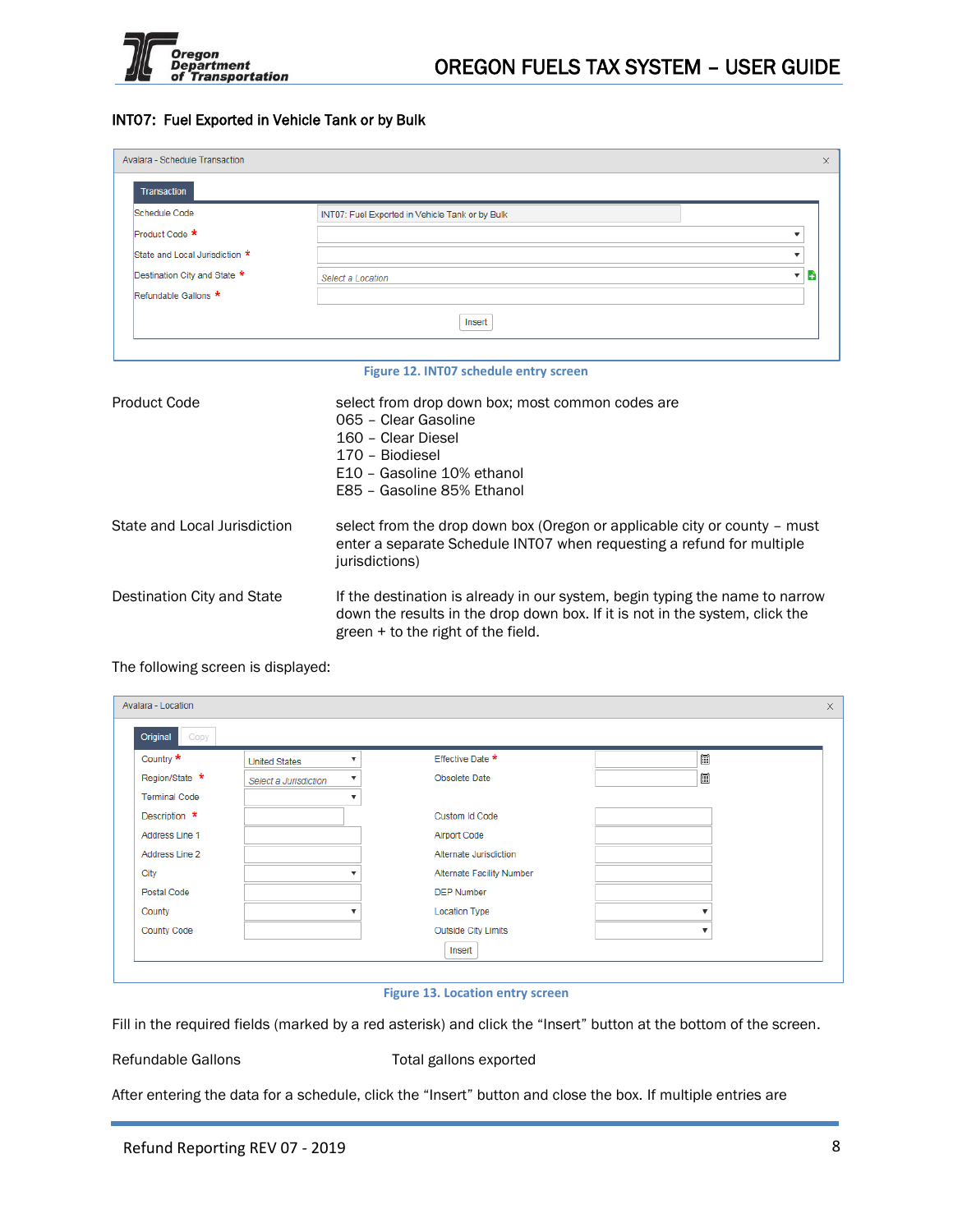

## INT07: Fuel Exported in Vehicle Tank or by Bulk

| Avalara - Schedule Transaction |                                                                                                                                                                               | $\times$       |
|--------------------------------|-------------------------------------------------------------------------------------------------------------------------------------------------------------------------------|----------------|
| <b>Transaction</b>             |                                                                                                                                                                               |                |
| Schedule Code                  | INT07: Fuel Exported in Vehicle Tank or by Bulk                                                                                                                               |                |
| Product Code *                 |                                                                                                                                                                               | $\blacksquare$ |
| State and Local Jurisdiction * |                                                                                                                                                                               | ▼              |
| Destination City and State *   | Select a Location                                                                                                                                                             | a              |
| Refundable Gallons *           |                                                                                                                                                                               |                |
|                                | Insert                                                                                                                                                                        |                |
|                                | Figure 12. INT07 schedule entry screen                                                                                                                                        |                |
| <b>Product Code</b>            | select from drop down box; most common codes are<br>065 - Clear Gasoline<br>160 - Clear Diesel<br>170 - Biodiesel<br>E10 - Gasoline 10% ethanol<br>E85 - Gasoline 85% Ethanol |                |

| State and Local Jurisdiction | select from the drop down box (Oregon or applicable city or county – must<br>enter a separate Schedule INTO7 when requesting a refund for multiple<br>jurisdictions) |
|------------------------------|----------------------------------------------------------------------------------------------------------------------------------------------------------------------|
| Destination City and State   | If the destination is already in our system, begin typing the name to narrow                                                                                         |

green + to the right of the field.

down the results in the drop down box. If it is not in the system, click the

# The following screen is displayed:

| Country *            | <b>United States</b>  | Effective Date *           | 圃                       |
|----------------------|-----------------------|----------------------------|-------------------------|
| Region/State *       | Select a Jurisdiction | Obsolete Date              | 圍                       |
| <b>Terminal Code</b> | v                     |                            |                         |
| Description *        |                       | Custom Id Code             |                         |
| Address Line 1       |                       | Airport Code               |                         |
| Address Line 2       |                       | Alternate Jurisdiction     |                         |
| City                 |                       | Alternate Facility Number  |                         |
| <b>Postal Code</b>   |                       | <b>DEP Number</b>          |                         |
| County               |                       | <b>Location Type</b>       |                         |
| <b>County Code</b>   |                       | <b>Outside City Limits</b> | $\overline{\mathbf{v}}$ |

#### **Figure 13. Location entry screen**

Fill in the required fields (marked by a red asterisk) and click the "Insert" button at the bottom of the screen.

Refundable Gallons Total gallons exported

After entering the data for a schedule, click the "Insert" button and close the box. If multiple entries are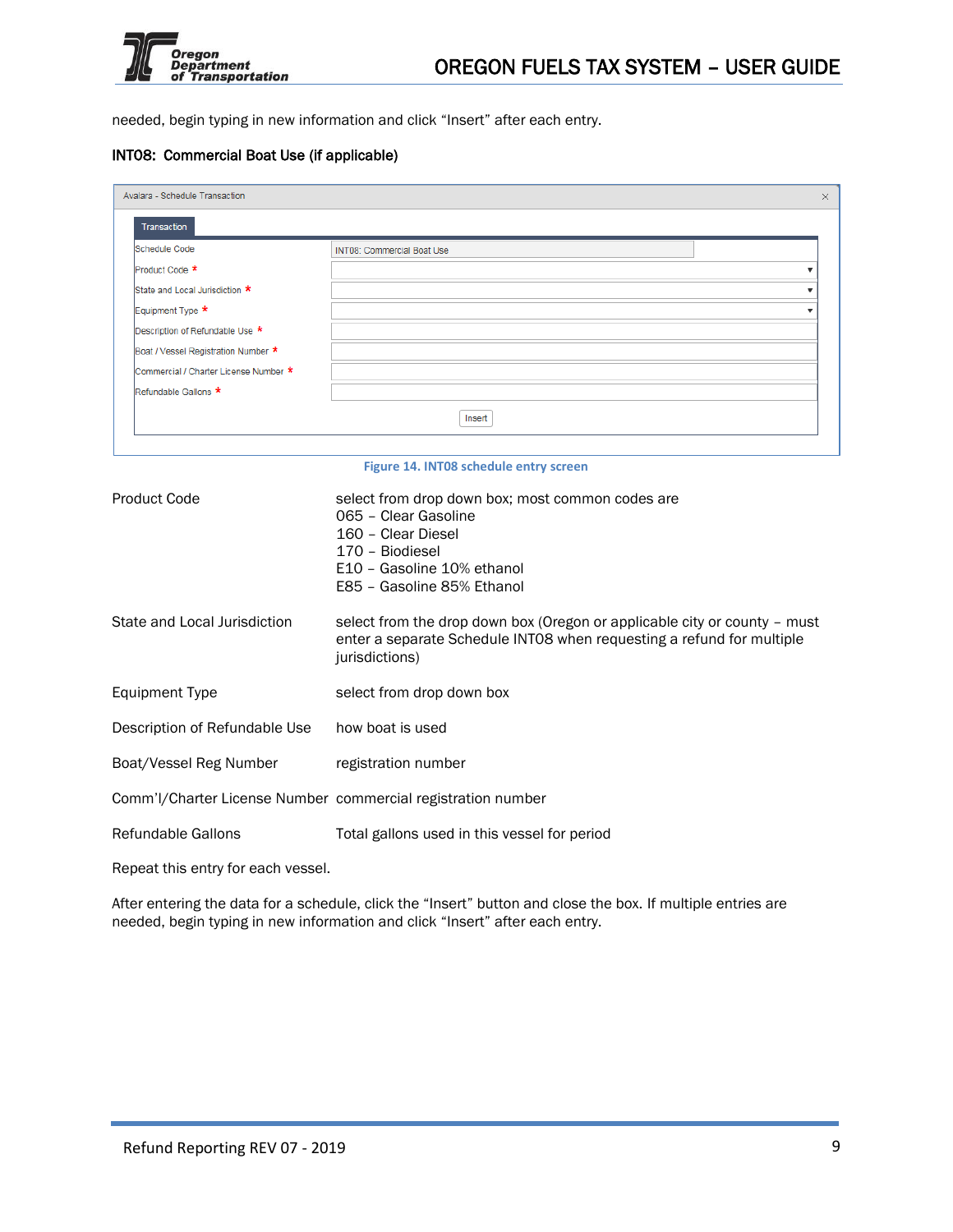

needed, begin typing in new information and click "Insert" after each entry.

### INT08: Commercial Boat Use (if applicable)

| Transaction                           |                                   |
|---------------------------------------|-----------------------------------|
| Schedule Code                         | <b>INT08: Commercial Boat Use</b> |
| Product Code *                        |                                   |
| State and Local Jurisdiction *        |                                   |
| Equipment Type *                      |                                   |
| Description of Refundable Use *       |                                   |
| Boat / Vessel Registration Number *   |                                   |
| Commercial / Charter License Number * |                                   |
| Refundable Gallons *                  |                                   |
|                                       | Insert                            |

#### **Figure 14. INT08 schedule entry screen**

| Product Code                                                 | select from drop down box; most common codes are<br>065 - Clear Gasoline<br>160 - Clear Diesel<br>170 - Biodiesel<br>E10 - Gasoline 10% ethanol<br>E85 - Gasoline 85% Ethanol |
|--------------------------------------------------------------|-------------------------------------------------------------------------------------------------------------------------------------------------------------------------------|
| State and Local Jurisdiction                                 | select from the drop down box (Oregon or applicable city or county - must<br>enter a separate Schedule INTO8 when requesting a refund for multiple<br>jurisdictions)          |
| Equipment Type                                               | select from drop down box                                                                                                                                                     |
| Description of Refundable Use                                | how boat is used                                                                                                                                                              |
| Boat/Vessel Reg Number                                       | registration number                                                                                                                                                           |
| Comm'l/Charter License Number commercial registration number |                                                                                                                                                                               |
| Refundable Gallons                                           | Total gallons used in this vessel for period                                                                                                                                  |

Repeat this entry for each vessel.

After entering the data for a schedule, click the "Insert" button and close the box. If multiple entries are needed, begin typing in new information and click "Insert" after each entry.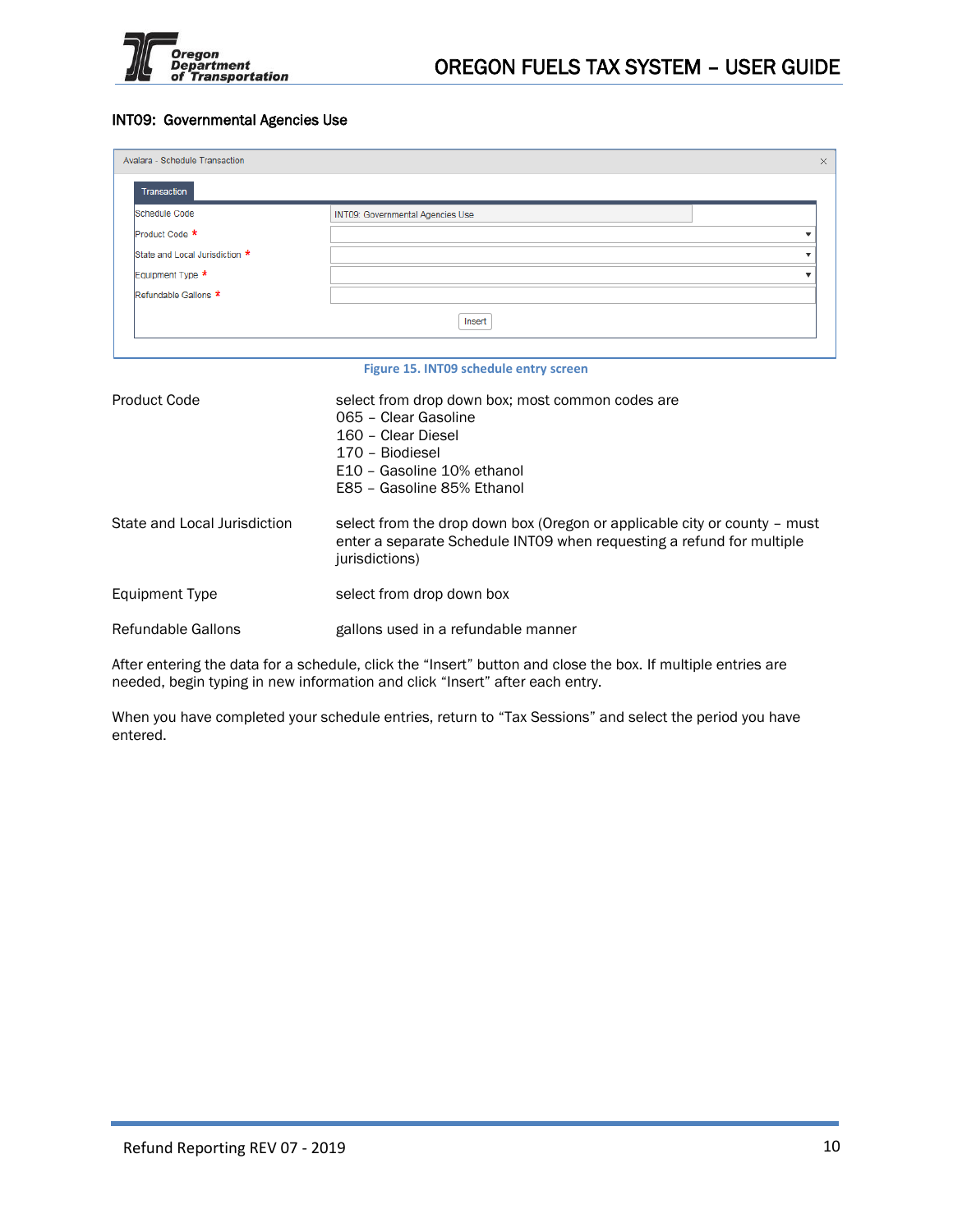

## INT09: Governmental Agencies Use

| Avalara - Schedule Transaction | $\times$                                                                                                                                                                      |
|--------------------------------|-------------------------------------------------------------------------------------------------------------------------------------------------------------------------------|
| <b>Transaction</b>             |                                                                                                                                                                               |
| <b>Schedule Code</b>           | INT09: Governmental Agencies Use                                                                                                                                              |
| Product Code *                 |                                                                                                                                                                               |
| State and Local Jurisdiction * |                                                                                                                                                                               |
| Equipment Type *               |                                                                                                                                                                               |
| Refundable Gallons *           |                                                                                                                                                                               |
|                                | Insert                                                                                                                                                                        |
|                                | Figure 15. INT09 schedule entry screen                                                                                                                                        |
| <b>Product Code</b>            | select from drop down box; most common codes are<br>065 - Clear Gasoline<br>160 - Clear Diesel<br>170 - Biodiesel<br>E10 - Gasoline 10% ethanol<br>E85 - Gasoline 85% Ethanol |
| State and Local Jurisdiction   | select from the drop down box (Oregon or applicable city or county - must<br>enter a separate Schedule INT09 when requesting a refund for multiple<br>jurisdictions)          |
| <b>Equipment Type</b>          | select from drop down box                                                                                                                                                     |
| Refundable Gallons             | gallons used in a refundable manner                                                                                                                                           |

After entering the data for a schedule, click the "Insert" button and close the box. If multiple entries are needed, begin typing in new information and click "Insert" after each entry.

When you have completed your schedule entries, return to "Tax Sessions" and select the period you have entered.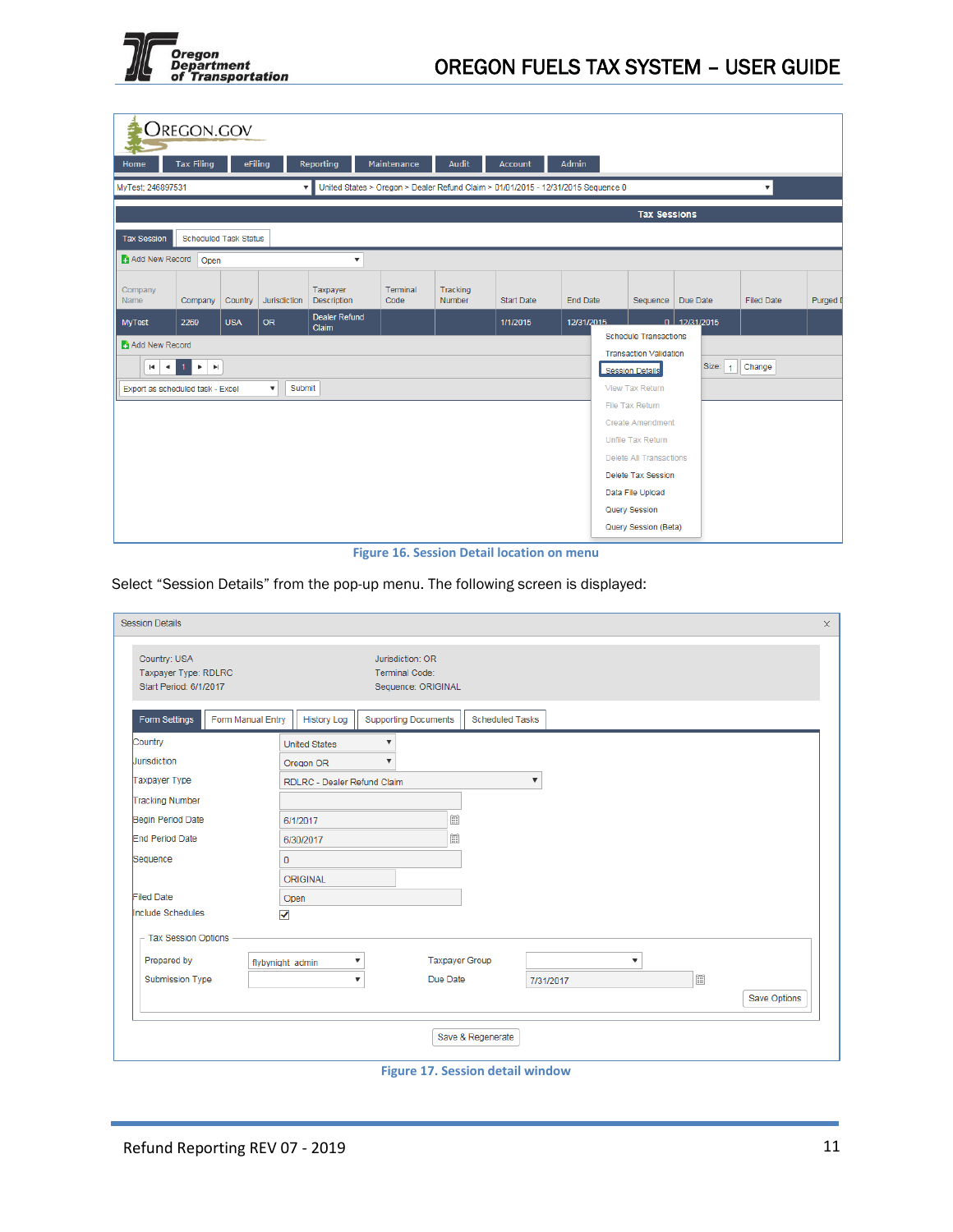

|                                                    | <b>OREGON.GOV</b>            |            |                                     |                                |                  |                           |                                                                                   |                 |                                                                                                                                                                                                          |                |                         |          |
|----------------------------------------------------|------------------------------|------------|-------------------------------------|--------------------------------|------------------|---------------------------|-----------------------------------------------------------------------------------|-----------------|----------------------------------------------------------------------------------------------------------------------------------------------------------------------------------------------------------|----------------|-------------------------|----------|
| Home                                               | <b>Tax Filing</b>            | eFiling    |                                     | Reporting                      | Maintenance      | Audit                     | <b>Account</b>                                                                    | <b>Admin</b>    |                                                                                                                                                                                                          |                |                         |          |
| MyTest; 246897531                                  |                              |            |                                     | $\overline{\mathbf{v}}$        |                  |                           | United States > Oregon > Dealer Refund Claim > 01/01/2015 - 12/31/2015 Sequence 0 |                 |                                                                                                                                                                                                          |                | $\overline{\mathbf{v}}$ |          |
|                                                    |                              |            |                                     |                                |                  |                           |                                                                                   |                 | <b>Tax Sessions</b>                                                                                                                                                                                      |                |                         |          |
| <b>Tax Session</b>                                 | <b>Scheduled Task Status</b> |            |                                     |                                |                  |                           |                                                                                   |                 |                                                                                                                                                                                                          |                |                         |          |
| Add New Record                                     | Open                         |            |                                     | ▼                              |                  |                           |                                                                                   |                 |                                                                                                                                                                                                          |                |                         |          |
| Company<br>Name                                    | Company                      | Country    | Jurisdiction                        | Taxpayer<br><b>Description</b> | Terminal<br>Code | Tracking<br><b>Number</b> | <b>Start Date</b>                                                                 | <b>End Date</b> | Sequence                                                                                                                                                                                                 | Due Date       | <b>Filed Date</b>       | Purged I |
| <b>MyTest</b>                                      | 2269                         | <b>USA</b> | <b>OR</b>                           | <b>Dealer Refund</b><br>Claim  |                  |                           | 1/1/2015                                                                          | 12/31/2015      |                                                                                                                                                                                                          | $0$ 12/31/2015 |                         |          |
| Add New Record<br>Export as scheduled task - Excel | $R$ $\leq$ $R$ $>$ $R$       |            | Submit<br>$\boldsymbol{\mathrm{v}}$ |                                |                  |                           |                                                                                   |                 | <b>Schedule Transactions</b><br><b>Transaction Validation</b><br><b>Session Details</b><br>View Tax Return<br>File Tax Return<br><b>Create Amendment</b><br>Unfile Tax Return<br>Delete All Transactions | Size: $1$      | Change                  |          |
|                                                    |                              |            |                                     |                                |                  |                           |                                                                                   |                 | Delete Tax Session<br>Data File Upload<br>Query Session<br>Query Session (Beta)                                                                                                                          |                |                         |          |

**Figure 16. Session Detail location on menu**

Select "Session Details" from the pop-up menu. The following screen is displayed:

| <b>Session Details</b>                                         |                                         |                                                          |                        |                           |              | $\times$ |
|----------------------------------------------------------------|-----------------------------------------|----------------------------------------------------------|------------------------|---------------------------|--------------|----------|
| Country: USA<br>Taxpayer Type: RDLRC<br>Start Period: 6/1/2017 |                                         | Jurisdiction: OR<br>Terminal Code:<br>Sequence: ORIGINAL |                        |                           |              |          |
| <b>Form Settings</b>                                           | Form Manual Entry<br><b>History Log</b> | <b>Supporting Documents</b>                              | <b>Scheduled Tasks</b> |                           |              |          |
| Country                                                        | <b>United States</b>                    | $\boldsymbol{\mathrm{v}}$                                |                        |                           |              |          |
| Jurisdiction                                                   | Oregon OR                               | $\boldsymbol{\mathrm{v}}$                                |                        |                           |              |          |
| Taxpayer Type                                                  | RDLRC - Dealer Refund Claim             |                                                          | $\pmb{\nabla}$         |                           |              |          |
| <b>Tracking Number</b>                                         |                                         |                                                          |                        |                           |              |          |
| Begin Period Date                                              | 6/1/2017                                | $\widetilde{\boxplus}$                                   |                        |                           |              |          |
| <b>End Period Date</b>                                         | 6/30/2017                               | 圜                                                        |                        |                           |              |          |
| Sequence                                                       | $\mathbf{0}$                            |                                                          |                        |                           |              |          |
|                                                                | ORIGINAL                                |                                                          |                        |                           |              |          |
| <b>Filed Date</b>                                              | Open                                    |                                                          |                        |                           |              |          |
| Include Schedules                                              | √                                       |                                                          |                        |                           |              |          |
| $-$ Tax Session Options                                        |                                         |                                                          |                        |                           |              |          |
| Prepared by                                                    | ▼<br>flybynight admin                   | <b>Taxpayer Group</b>                                    |                        | $\boldsymbol{\mathrm{v}}$ |              |          |
| Submission Type                                                | $\boldsymbol{\mathrm{v}}$               | Due Date                                                 | 7/31/2017              |                           | $\boxed{::}$ |          |
|                                                                |                                         |                                                          |                        |                           | Save Options |          |
|                                                                |                                         |                                                          |                        |                           |              |          |
|                                                                |                                         | Save & Regenerate                                        |                        |                           |              |          |
|                                                                |                                         |                                                          |                        |                           |              |          |

**Figure 17. Session detail window**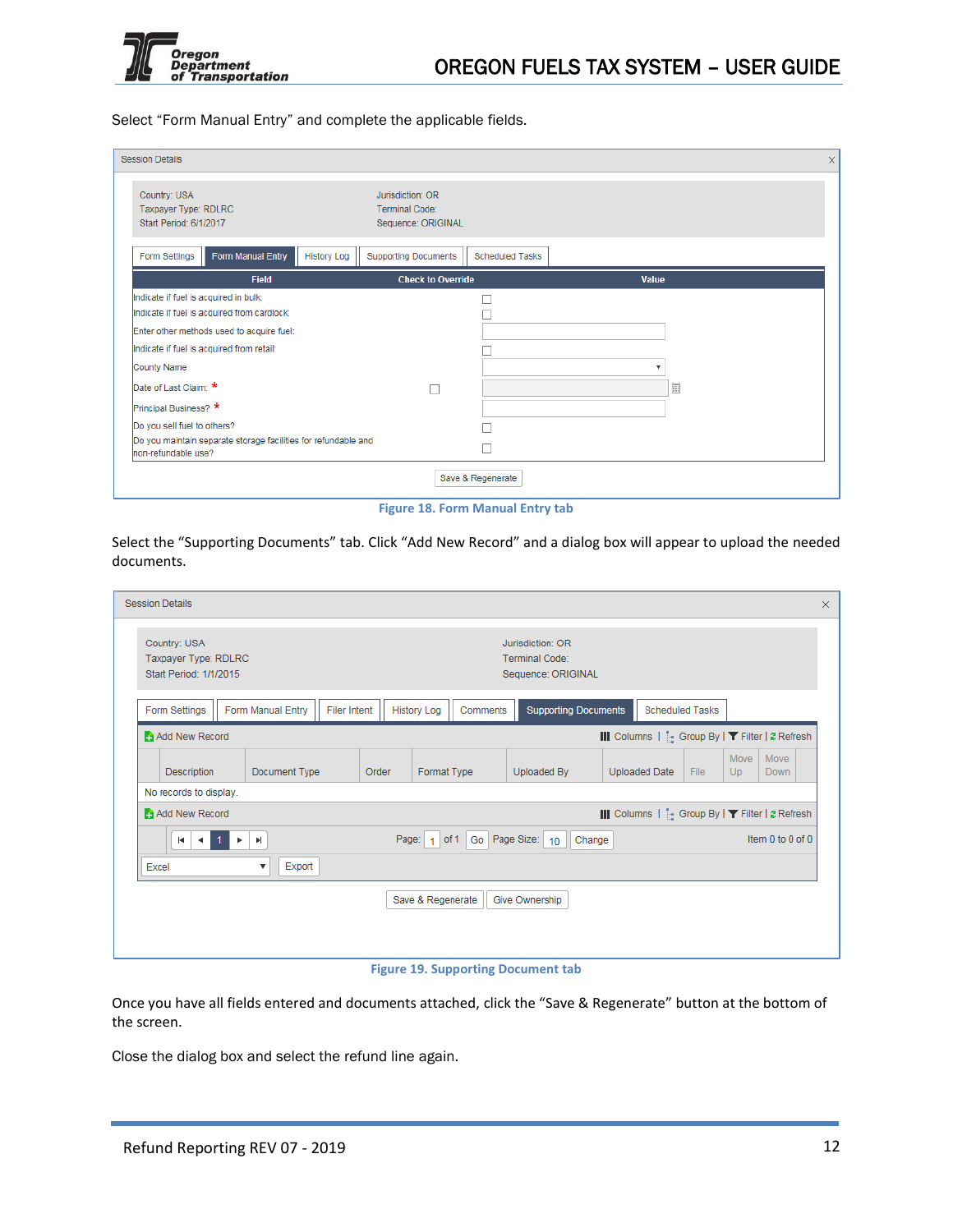

Select "Form Manual Entry" and complete the applicable fields.

| <b>Session Details</b>                                                                |                                                                             |                          |
|---------------------------------------------------------------------------------------|-----------------------------------------------------------------------------|--------------------------|
| Country: USA<br>Taxpayer Type: RDLRC<br>Start Period: 6/1/2017                        | Jurisdiction: OR<br>Terminal Code:<br>Sequence: ORIGINAL                    |                          |
| Form Manual Entry<br>Form Settings                                                    | <b>Supporting Documents</b><br><b>History Log</b><br><b>Scheduled Tasks</b> |                          |
| <b>Field</b>                                                                          | <b>Check to Override</b>                                                    | Value                    |
| Indicate if fuel is acquired in bulk:<br>Indicate if fuel is acquired from cardlock:  |                                                                             |                          |
| Enter other methods used to acquire fuel:                                             |                                                                             |                          |
| Indicate if fuel is acquired from retail:                                             |                                                                             |                          |
| <b>County Name</b>                                                                    |                                                                             | $\overline{\phantom{a}}$ |
| Date of Last Claim: *                                                                 |                                                                             | 圜                        |
| Principal Business? *                                                                 |                                                                             |                          |
| Do you sell fuel to others?                                                           |                                                                             |                          |
| Do you maintain separate storage facilities for refundable and<br>non-refundable use? |                                                                             |                          |
|                                                                                       | Save & Regenerate                                                           |                          |

**Figure 18. Form Manual Entry tab**

Select the "Supporting Documents" tab. Click "Add New Record" and a dialog box will appear to upload the needed documents.

| <b>Session Details</b>                                         |                                   |                     |                    |                        |                                                          |                                                         |                        |            |                  |  |
|----------------------------------------------------------------|-----------------------------------|---------------------|--------------------|------------------------|----------------------------------------------------------|---------------------------------------------------------|------------------------|------------|------------------|--|
| Country: USA<br>Taxpayer Type: RDLRC<br>Start Period: 1/1/2015 |                                   |                     |                    |                        | Jurisdiction: OR<br>Terminal Code:<br>Sequence: ORIGINAL |                                                         |                        |            |                  |  |
| Form Settings                                                  | Form Manual Entry                 | <b>Filer Intent</b> | <b>History Log</b> | Comments               | <b>Supporting Documents</b>                              |                                                         | <b>Scheduled Tasks</b> |            |                  |  |
| Add New Record                                                 |                                   |                     |                    |                        |                                                          | III Columns   [. Group By   <b>T</b> Filter   2 Refresh |                        |            |                  |  |
| <b>Description</b>                                             | Document Type                     | Order               | Format Type        |                        | <b>Uploaded By</b>                                       | <b>Uploaded Date</b>                                    | <b>File</b>            | Move<br>Up | Move<br>Down     |  |
| No records to display.                                         |                                   |                     |                    |                        |                                                          |                                                         |                        |            |                  |  |
| Add New Record                                                 |                                   |                     |                    |                        |                                                          | III Columns   [. Group By   ▼ Filter   2 Refresh        |                        |            |                  |  |
| $\blacksquare$<br>$\rightarrow$                                | Þ.<br>۰.                          |                     | Page:              | $1$ of 1 Go Page Size: | Change<br>10 <sup>°</sup>                                |                                                         |                        |            | Item 0 to 0 of 0 |  |
| Excel                                                          | Export<br>$\overline{\mathbf{v}}$ |                     |                    |                        |                                                          |                                                         |                        |            |                  |  |
|                                                                |                                   |                     | Save & Regenerate  |                        | Give Ownership                                           |                                                         |                        |            |                  |  |
|                                                                |                                   |                     |                    |                        |                                                          |                                                         |                        |            |                  |  |
|                                                                |                                   |                     |                    |                        |                                                          |                                                         |                        |            |                  |  |

**Figure 19. Supporting Document tab**

Once you have all fields entered and documents attached, click the "Save & Regenerate" button at the bottom of the screen.

Close the dialog box and select the refund line again.